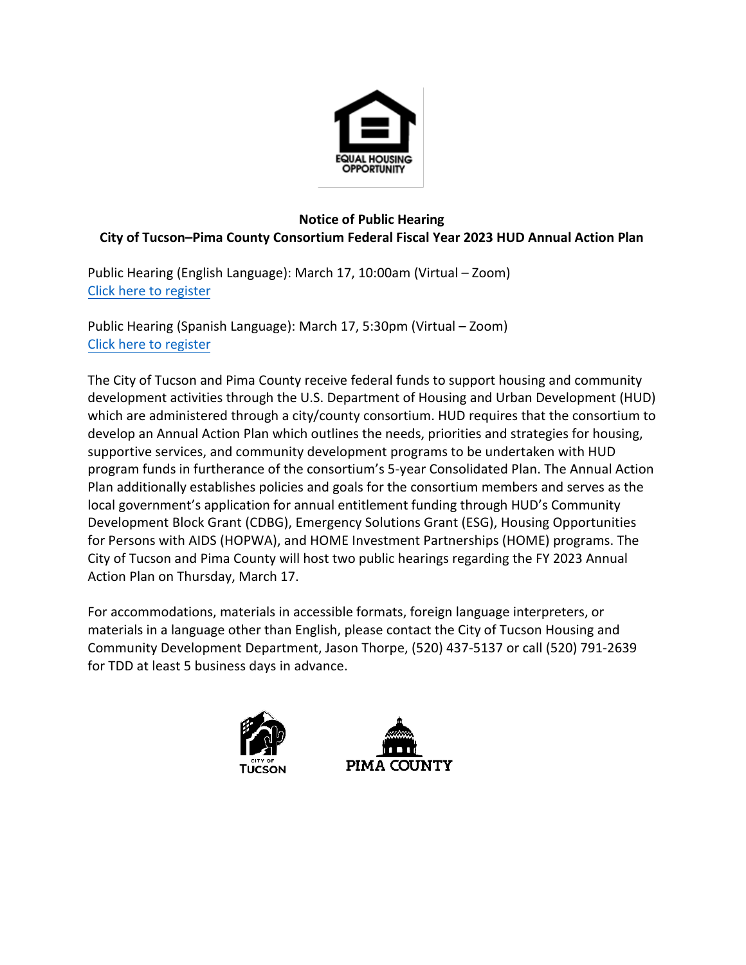

## **Notice of Public Hearing City of Tucson–Pima County Consortium Federal Fiscal Year 2023 HUD Annual Action Plan**

Public Hearing (English Language): March 17, 10:00am (Virtual – Zoom) [Click here to register](https://us02web.zoom.us/meeting/register/tZcof-qtqzMvH9zIK6RecDcdnuz6AJr45YGD)

Public Hearing (Spanish Language): March 17, 5:30pm (Virtual – Zoom) [Click here to register](https://us06web.zoom.us/j/81411970628?pwd=SVVUSVdMcFgvZWRScW1oLzNhVWJCdz09)

The City of Tucson and Pima County receive federal funds to support housing and community development activities through the U.S. Department of Housing and Urban Development (HUD) which are administered through a city/county consortium. HUD requires that the consortium to develop an Annual Action Plan which outlines the needs, priorities and strategies for housing, supportive services, and community development programs to be undertaken with HUD program funds in furtherance of the consortium's 5-year Consolidated Plan. The Annual Action Plan additionally establishes policies and goals for the consortium members and serves as the local government's application for annual entitlement funding through HUD's Community Development Block Grant (CDBG), Emergency Solutions Grant (ESG), Housing Opportunities for Persons with AIDS (HOPWA), and HOME Investment Partnerships (HOME) programs. The City of Tucson and Pima County will host two public hearings regarding the FY 2023 Annual Action Plan on Thursday, March 17.

For accommodations, materials in accessible formats, foreign language interpreters, or materials in a language other than English, please contact the City of Tucson Housing and Community Development Department, Jason Thorpe, (520) 437-5137 or call (520) 791-2639 for TDD at least 5 business days in advance.